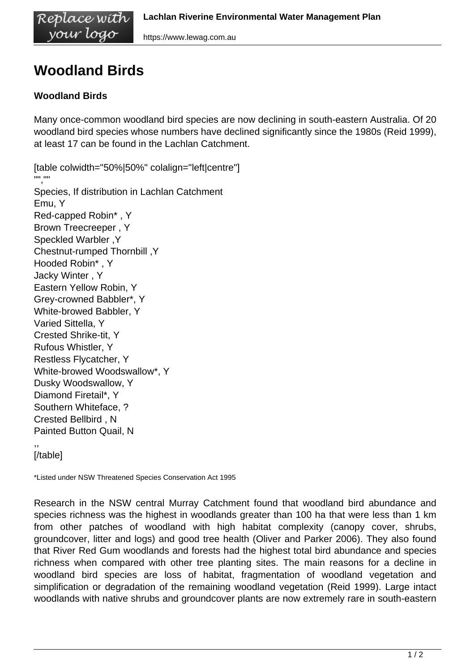vour logo https://www.lewag.com.au

## **Woodland Birds**

Replace with

## **Woodland Birds**

Many once-common woodland bird species are now declining in south-eastern Australia. Of 20 woodland bird species whose numbers have declined significantly since the 1980s (Reid 1999), at least 17 can be found in the Lachlan Catchment.

[table colwidth="50%|50%" colalign="left|centre"] "","" Species, If distribution in Lachlan Catchment Emu, Y Red-capped Robin\* , Y Brown Treecreeper , Y Speckled Warbler ,Y Chestnut-rumped Thornbill ,Y Hooded Robin\* , Y Jacky Winter , Y Eastern Yellow Robin, Y Grey-crowned Babbler\*, Y White-browed Babbler, Y Varied Sittella, Y Crested Shrike-tit, Y Rufous Whistler, Y Restless Flycatcher, Y White-browed Woodswallow\*, Y Dusky Woodswallow, Y Diamond Firetail\*, Y Southern Whiteface, ? Crested Bellbird , N Painted Button Quail, N

,, [/table]

\*Listed under NSW Threatened Species Conservation Act 1995

Research in the NSW central Murray Catchment found that woodland bird abundance and species richness was the highest in woodlands greater than 100 ha that were less than 1 km from other patches of woodland with high habitat complexity (canopy cover, shrubs, groundcover, litter and logs) and good tree health (Oliver and Parker 2006). They also found that River Red Gum woodlands and forests had the highest total bird abundance and species richness when compared with other tree planting sites. The main reasons for a decline in woodland bird species are loss of habitat, fragmentation of woodland vegetation and simplification or degradation of the remaining woodland vegetation (Reid 1999). Large intact woodlands with native shrubs and groundcover plants are now extremely rare in south-eastern